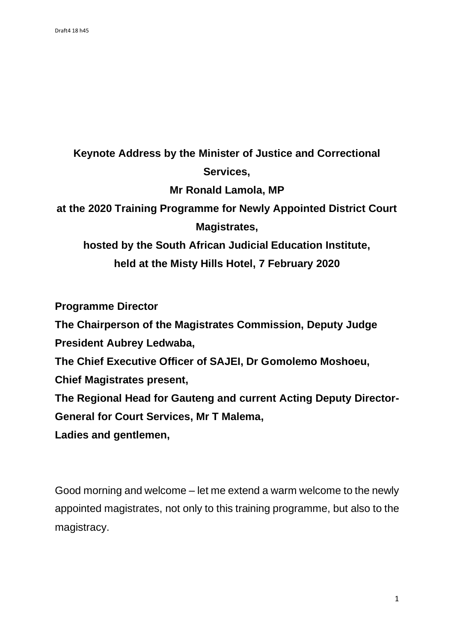## **Keynote Address by the Minister of Justice and Correctional Services, Mr Ronald Lamola, MP at the 2020 Training Programme for Newly Appointed District Court Magistrates, hosted by the South African Judicial Education Institute, held at the Misty Hills Hotel, 7 February 2020**

**Programme Director**

**The Chairperson of the Magistrates Commission, Deputy Judge President Aubrey Ledwaba,**

**The Chief Executive Officer of SAJEI, Dr Gomolemo Moshoeu,** 

**Chief Magistrates present,**

**The Regional Head for Gauteng and current Acting Deputy Director-General for Court Services, Mr T Malema,**

**Ladies and gentlemen,**

Good morning and welcome – let me extend a warm welcome to the newly appointed magistrates, not only to this training programme, but also to the magistracy.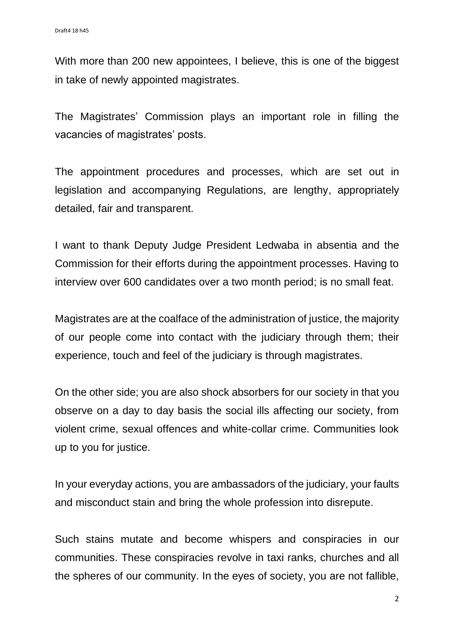With more than 200 new appointees, I believe, this is one of the biggest in take of newly appointed magistrates.

The Magistrates' Commission plays an important role in filling the vacancies of magistrates' posts.

The appointment procedures and processes, which are set out in legislation and accompanying Regulations, are lengthy, appropriately detailed, fair and transparent.

I want to thank Deputy Judge President Ledwaba in absentia and the Commission for their efforts during the appointment processes. Having to interview over 600 candidates over a two month period; is no small feat.

Magistrates are at the coalface of the administration of justice, the majority of our people come into contact with the judiciary through them; their experience, touch and feel of the judiciary is through magistrates.

On the other side; you are also shock absorbers for our society in that you observe on a day to day basis the social ills affecting our society, from violent crime, sexual offences and white-collar crime. Communities look up to you for justice.

In your everyday actions, you are ambassadors of the judiciary, your faults and misconduct stain and bring the whole profession into disrepute.

Such stains mutate and become whispers and conspiracies in our communities. These conspiracies revolve in taxi ranks, churches and all the spheres of our community. In the eyes of society, you are not fallible,

2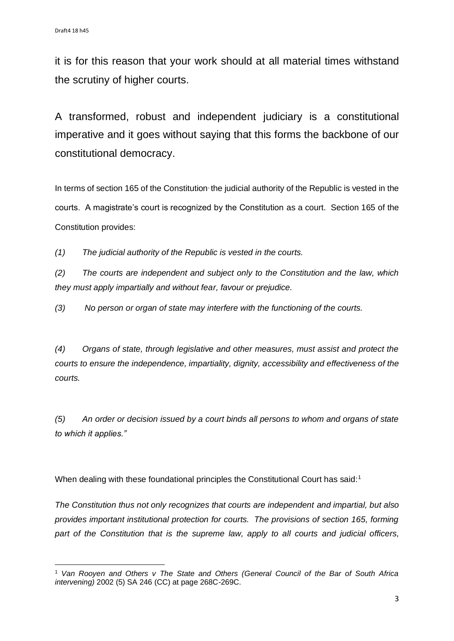it is for this reason that your work should at all material times withstand the scrutiny of higher courts.

A transformed, robust and independent judiciary is a constitutional imperative and it goes without saying that this forms the backbone of our constitutional democracy.

In terms of section 165 of the Constitution, the judicial authority of the Republic is vested in the courts. A magistrate's court is recognized by the Constitution as a court. Section 165 of the Constitution provides:

*(1) The judicial authority of the Republic is vested in the courts.*

*(2) The courts are independent and subject only to the Constitution and the law, which they must apply impartially and without fear, favour or prejudice.*

*(3) No person or organ of state may interfere with the functioning of the courts.*

*(4) Organs of state, through legislative and other measures, must assist and protect the courts to ensure the independence, impartiality, dignity, accessibility and effectiveness of the courts.*

*(5) An order or decision issued by a court binds all persons to whom and organs of state to which it applies."*

When dealing with these foundational principles the Constitutional Court has said:<sup>1</sup>

*The Constitution thus not only recognizes that courts are independent and impartial, but also provides important institutional protection for courts. The provisions of section 165, forming part of the Constitution that is the supreme law, apply to all courts and judicial officers,* 

<sup>1</sup> *Van Rooyen and Others v The State and Others (General Council of the Bar of South Africa intervening)* 2002 (5) SA 246 (CC) at page 268C-269C.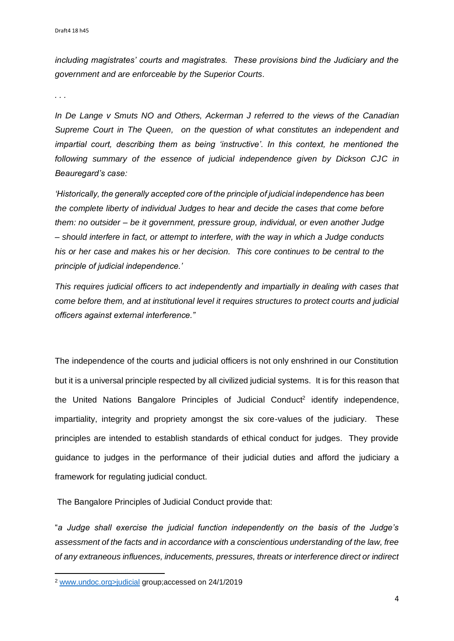*including magistrates' courts and magistrates. These provisions bind the Judiciary and the government and are enforceable by the Superior Courts.*

*. . .*

*In De Lange v Smuts NO and Others, Ackerman J referred to the views of the Canadian Supreme Court in The Queen, on the question of what constitutes an independent and impartial court, describing them as being 'instructive'. In this context, he mentioned the following summary of the essence of judicial independence given by Dickson CJC in Beauregard's case:*

*'Historically, the generally accepted core of the principle of judicial independence has been the complete liberty of individual Judges to hear and decide the cases that come before them: no outsider – be it government, pressure group, individual, or even another Judge – should interfere in fact, or attempt to interfere, with the way in which a Judge conducts his or her case and makes his or her decision. This core continues to be central to the principle of judicial independence.'*

*This requires judicial officers to act independently and impartially in dealing with cases that come before them, and at institutional level it requires structures to protect courts and judicial officers against external interference."*

The independence of the courts and judicial officers is not only enshrined in our Constitution but it is a universal principle respected by all civilized judicial systems. It is for this reason that the United Nations Bangalore Principles of Judicial Conduct<sup>2</sup> identify independence, impartiality, integrity and propriety amongst the six core-values of the judiciary. These principles are intended to establish standards of ethical conduct for judges. They provide guidance to judges in the performance of their judicial duties and afford the judiciary a framework for regulating judicial conduct.

The Bangalore Principles of Judicial Conduct provide that:

"*a Judge shall exercise the judicial function independently on the basis of the Judge's assessment of the facts and in accordance with a conscientious understanding of the law, free of any extraneous influences, inducements, pressures, threats or interference direct or indirect* 

<sup>2</sup> www.undoc.org>judicial group;accessed on 24/1/2019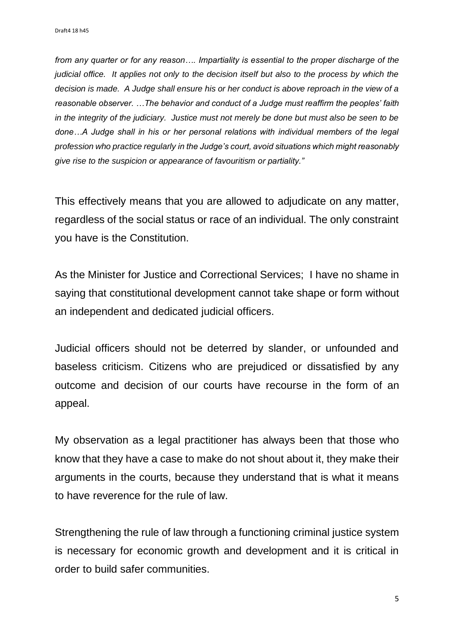*from any quarter or for any reason…. Impartiality is essential to the proper discharge of the judicial office.* It applies not only to the decision itself but also to the process by which the *decision is made. A Judge shall ensure his or her conduct is above reproach in the view of a reasonable observer. …The behavior and conduct of a Judge must reaffirm the peoples' faith in the integrity of the judiciary. Justice must not merely be done but must also be seen to be done…A Judge shall in his or her personal relations with individual members of the legal profession who practice regularly in the Judge's court, avoid situations which might reasonably give rise to the suspicion or appearance of favouritism or partiality."* 

This effectively means that you are allowed to adjudicate on any matter, regardless of the social status or race of an individual. The only constraint you have is the Constitution.

As the Minister for Justice and Correctional Services; I have no shame in saying that constitutional development cannot take shape or form without an independent and dedicated judicial officers.

Judicial officers should not be deterred by slander, or unfounded and baseless criticism. Citizens who are prejudiced or dissatisfied by any outcome and decision of our courts have recourse in the form of an appeal.

My observation as a legal practitioner has always been that those who know that they have a case to make do not shout about it, they make their arguments in the courts, because they understand that is what it means to have reverence for the rule of law.

Strengthening the rule of law through a functioning criminal justice system is necessary for economic growth and development and it is critical in order to build safer communities.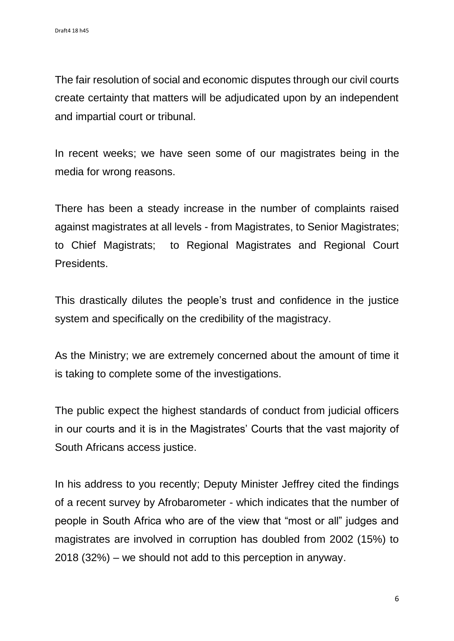The fair resolution of social and economic disputes through our civil courts create certainty that matters will be adjudicated upon by an independent and impartial court or tribunal.

In recent weeks; we have seen some of our magistrates being in the media for wrong reasons.

There has been a steady increase in the number of complaints raised against magistrates at all levels - from Magistrates, to Senior Magistrates; to Chief Magistrats; to Regional Magistrates and Regional Court **Presidents** 

This drastically dilutes the people's trust and confidence in the justice system and specifically on the credibility of the magistracy.

As the Ministry; we are extremely concerned about the amount of time it is taking to complete some of the investigations.

The public expect the highest standards of conduct from judicial officers in our courts and it is in the Magistrates' Courts that the vast majority of South Africans access justice.

In his address to you recently; Deputy Minister Jeffrey cited the findings of a recent survey by Afrobarometer - which indicates that the number of people in South Africa who are of the view that "most or all" judges and magistrates are involved in corruption has doubled from 2002 (15%) to 2018 (32%) – we should not add to this perception in anyway.

6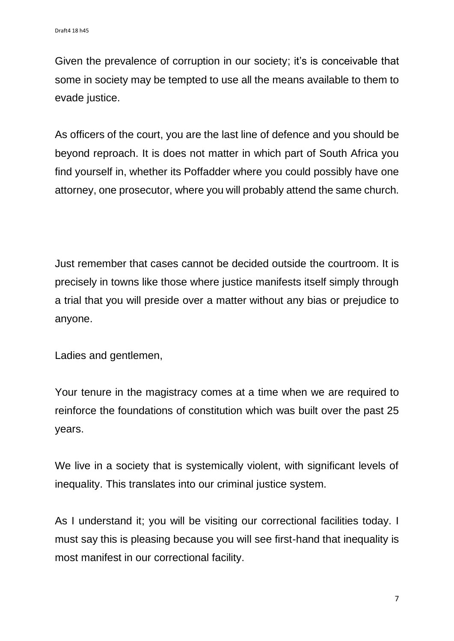Given the prevalence of corruption in our society; it's is conceivable that some in society may be tempted to use all the means available to them to evade justice.

As officers of the court, you are the last line of defence and you should be beyond reproach. It is does not matter in which part of South Africa you find yourself in, whether its Poffadder where you could possibly have one attorney, one prosecutor, where you will probably attend the same church.

Just remember that cases cannot be decided outside the courtroom. It is precisely in towns like those where justice manifests itself simply through a trial that you will preside over a matter without any bias or prejudice to anyone.

Ladies and gentlemen,

Your tenure in the magistracy comes at a time when we are required to reinforce the foundations of constitution which was built over the past 25 years.

We live in a society that is systemically violent, with significant levels of inequality. This translates into our criminal justice system.

As I understand it; you will be visiting our correctional facilities today. I must say this is pleasing because you will see first-hand that inequality is most manifest in our correctional facility.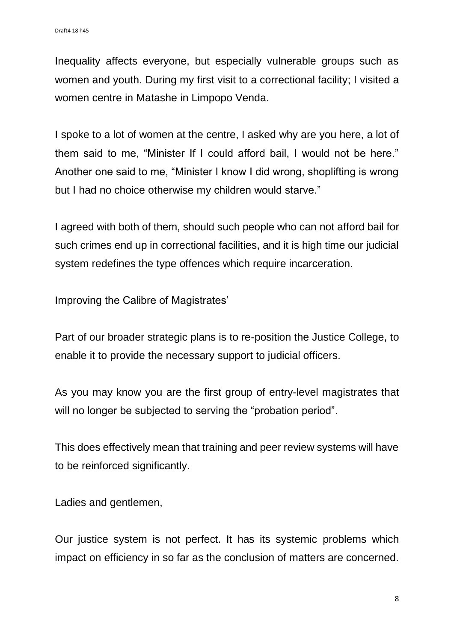Inequality affects everyone, but especially vulnerable groups such as women and youth. During my first visit to a correctional facility; I visited a women centre in Matashe in Limpopo Venda.

I spoke to a lot of women at the centre, I asked why are you here, a lot of them said to me, "Minister If I could afford bail, I would not be here." Another one said to me, "Minister I know I did wrong, shoplifting is wrong but I had no choice otherwise my children would starve."

I agreed with both of them, should such people who can not afford bail for such crimes end up in correctional facilities, and it is high time our judicial system redefines the type offences which require incarceration.

Improving the Calibre of Magistrates'

Part of our broader strategic plans is to re-position the Justice College, to enable it to provide the necessary support to judicial officers.

As you may know you are the first group of entry-level magistrates that will no longer be subjected to serving the "probation period".

This does effectively mean that training and peer review systems will have to be reinforced significantly.

Ladies and gentlemen,

Our justice system is not perfect. It has its systemic problems which impact on efficiency in so far as the conclusion of matters are concerned.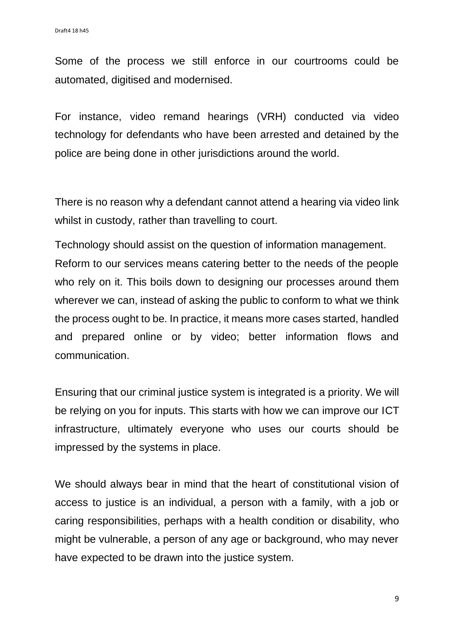Some of the process we still enforce in our courtrooms could be automated, digitised and modernised.

For instance, video remand hearings (VRH) conducted via video technology for defendants who have been arrested and detained by the police are being done in other jurisdictions around the world.

There is no reason why a defendant cannot attend a hearing via video link whilst in custody, rather than travelling to court.

Technology should assist on the question of information management. Reform to our services means catering better to the needs of the people who rely on it. This boils down to designing our processes around them wherever we can, instead of asking the public to conform to what we think the process ought to be. In practice, it means more cases started, handled and prepared online or by video; better information flows and communication.

Ensuring that our criminal justice system is integrated is a priority. We will be relying on you for inputs. This starts with how we can improve our ICT infrastructure, ultimately everyone who uses our courts should be impressed by the systems in place.

We should always bear in mind that the heart of constitutional vision of access to justice is an individual, a person with a family, with a job or caring responsibilities, perhaps with a health condition or disability, who might be vulnerable, a person of any age or background, who may never have expected to be drawn into the justice system.

9